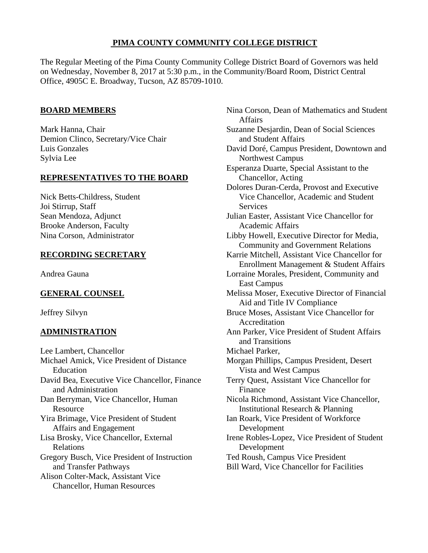# **PIMA COUNTY COMMUNITY COLLEGE DISTRICT**

The Regular Meeting of the Pima County Community College District Board of Governors was held on Wednesday, November 8, 2017 at 5:30 p.m., in the Community/Board Room, District Central Office, 4905C E. Broadway, Tucson, AZ 85709-1010.

# **BOARD MEMBERS**

Mark Hanna, Chair Demion Clinco, Secretary/Vice Chair Luis Gonzales Sylvia Lee

# **REPRESENTATIVES TO THE BOARD**

Nick Betts-Childress, Student Joi Stirrup, Staff Sean Mendoza, Adjunct Brooke Anderson, Faculty Nina Corson, Administrator

# **RECORDING SECRETARY**

Andrea Gauna

# **GENERAL COUNSEL**

Jeffrey Silvyn

# **ADMINISTRATION**

Lee Lambert, Chancellor Michael Amick, Vice President of Distance Education David Bea, Executive Vice Chancellor, Finance and Administration Dan Berryman, Vice Chancellor, Human Resource Yira Brimage, Vice President of Student Affairs and Engagement Lisa Brosky, Vice Chancellor, External Relations Gregory Busch, Vice President of Instruction and Transfer Pathways Alison Colter-Mack, Assistant Vice Chancellor, Human Resources

Nina Corson, Dean of Mathematics and Student Affairs Suzanne Desjardin, Dean of Social Sciences and Student Affairs David Doré, Campus President, Downtown and Northwest Campus Esperanza Duarte, Special Assistant to the Chancellor, Acting Dolores Duran-Cerda, Provost and Executive Vice Chancellor, Academic and Student **Services** Julian Easter, Assistant Vice Chancellor for Academic Affairs Libby Howell, Executive Director for Media, Community and Government Relations Karrie Mitchell, Assistant Vice Chancellor for Enrollment Management & Student Affairs Lorraine Morales, President, Community and East Campus Melissa Moser, Executive Director of Financial Aid and Title IV Compliance Bruce Moses, Assistant Vice Chancellor for Accreditation Ann Parker, Vice President of Student Affairs and Transitions Michael Parker, Morgan Phillips, Campus President, Desert Vista and West Campus Terry Quest, Assistant Vice Chancellor for Finance Nicola Richmond, Assistant Vice Chancellor, Institutional Research & Planning Ian Roark, Vice President of Workforce Development Irene Robles-Lopez, Vice President of Student Development Ted Roush, Campus Vice President Bill Ward, Vice Chancellor for Facilities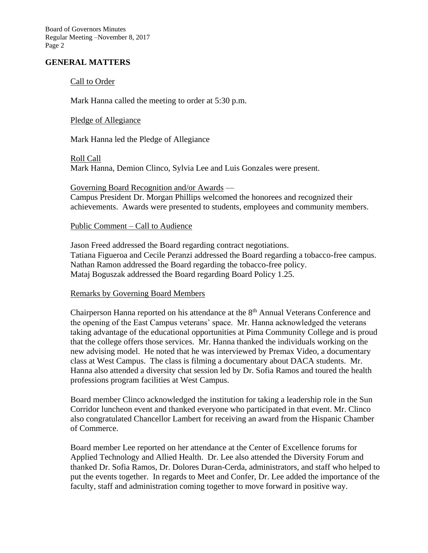Board of Governors Minutes Regular Meeting –November 8, 2017 Page 2

### **GENERAL MATTERS**

#### Call to Order

Mark Hanna called the meeting to order at 5:30 p.m.

#### Pledge of Allegiance

Mark Hanna led the Pledge of Allegiance

Roll Call Mark Hanna, Demion Clinco, Sylvia Lee and Luis Gonzales were present.

Governing Board Recognition and/or Awards — Campus President Dr. Morgan Phillips welcomed the honorees and recognized their achievements. Awards were presented to students, employees and community members.

#### Public Comment – Call to Audience

Jason Freed addressed the Board regarding contract negotiations. Tatiana Figueroa and Cecile Peranzi addressed the Board regarding a tobacco-free campus. Nathan Ramon addressed the Board regarding the tobacco-free policy. Mataj Boguszak addressed the Board regarding Board Policy 1.25.

#### Remarks by Governing Board Members

Chairperson Hanna reported on his attendance at the 8<sup>th</sup> Annual Veterans Conference and the opening of the East Campus veterans' space. Mr. Hanna acknowledged the veterans taking advantage of the educational opportunities at Pima Community College and is proud that the college offers those services. Mr. Hanna thanked the individuals working on the new advising model. He noted that he was interviewed by Premax Video, a documentary class at West Campus. The class is filming a documentary about DACA students. Mr. Hanna also attended a diversity chat session led by Dr. Sofia Ramos and toured the health professions program facilities at West Campus.

Board member Clinco acknowledged the institution for taking a leadership role in the Sun Corridor luncheon event and thanked everyone who participated in that event. Mr. Clinco also congratulated Chancellor Lambert for receiving an award from the Hispanic Chamber of Commerce.

Board member Lee reported on her attendance at the Center of Excellence forums for Applied Technology and Allied Health. Dr. Lee also attended the Diversity Forum and thanked Dr. Sofia Ramos, Dr. Dolores Duran-Cerda, administrators, and staff who helped to put the events together. In regards to Meet and Confer, Dr. Lee added the importance of the faculty, staff and administration coming together to move forward in positive way.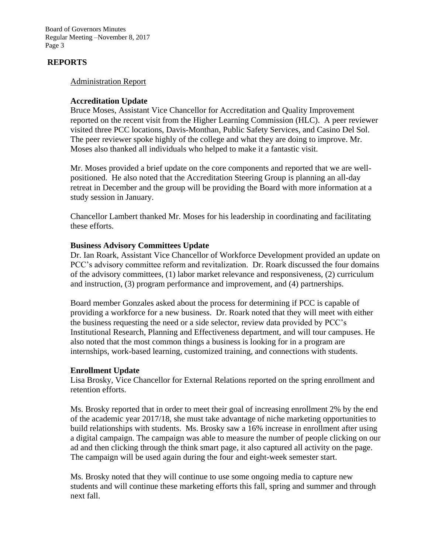Board of Governors Minutes Regular Meeting –November 8, 2017 Page 3

### **REPORTS**

#### Administration Report

#### **Accreditation Update**

Bruce Moses, Assistant Vice Chancellor for Accreditation and Quality Improvement reported on the recent visit from the Higher Learning Commission (HLC). A peer reviewer visited three PCC locations, Davis-Monthan, Public Safety Services, and Casino Del Sol. The peer reviewer spoke highly of the college and what they are doing to improve. Mr. Moses also thanked all individuals who helped to make it a fantastic visit.

Mr. Moses provided a brief update on the core components and reported that we are wellpositioned. He also noted that the Accreditation Steering Group is planning an all-day retreat in December and the group will be providing the Board with more information at a study session in January.

Chancellor Lambert thanked Mr. Moses for his leadership in coordinating and facilitating these efforts.

#### **Business Advisory Committees Update**

Dr. Ian Roark, Assistant Vice Chancellor of Workforce Development provided an update on PCC's advisory committee reform and revitalization. Dr. Roark discussed the four domains of the advisory committees, (1) labor market relevance and responsiveness, (2) curriculum and instruction, (3) program performance and improvement, and (4) partnerships.

Board member Gonzales asked about the process for determining if PCC is capable of providing a workforce for a new business. Dr. Roark noted that they will meet with either the business requesting the need or a side selector, review data provided by PCC's Institutional Research, Planning and Effectiveness department, and will tour campuses. He also noted that the most common things a business is looking for in a program are internships, work-based learning, customized training, and connections with students.

#### **Enrollment Update**

Lisa Brosky, Vice Chancellor for External Relations reported on the spring enrollment and retention efforts.

Ms. Brosky reported that in order to meet their goal of increasing enrollment 2% by the end of the academic year 2017/18, she must take advantage of niche marketing opportunities to build relationships with students. Ms. Brosky saw a 16% increase in enrollment after using a digital campaign. The campaign was able to measure the number of people clicking on our ad and then clicking through the think smart page, it also captured all activity on the page. The campaign will be used again during the four and eight-week semester start.

Ms. Brosky noted that they will continue to use some ongoing media to capture new students and will continue these marketing efforts this fall, spring and summer and through next fall.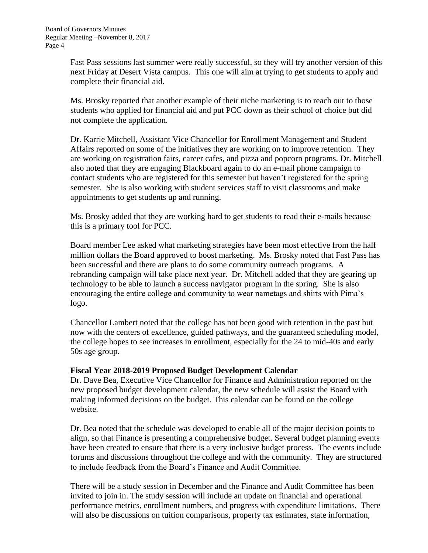Fast Pass sessions last summer were really successful, so they will try another version of this next Friday at Desert Vista campus. This one will aim at trying to get students to apply and complete their financial aid.

Ms. Brosky reported that another example of their niche marketing is to reach out to those students who applied for financial aid and put PCC down as their school of choice but did not complete the application.

Dr. Karrie Mitchell, Assistant Vice Chancellor for Enrollment Management and Student Affairs reported on some of the initiatives they are working on to improve retention. They are working on registration fairs, career cafes, and pizza and popcorn programs. Dr. Mitchell also noted that they are engaging Blackboard again to do an e-mail phone campaign to contact students who are registered for this semester but haven't registered for the spring semester. She is also working with student services staff to visit classrooms and make appointments to get students up and running.

Ms. Brosky added that they are working hard to get students to read their e-mails because this is a primary tool for PCC.

Board member Lee asked what marketing strategies have been most effective from the half million dollars the Board approved to boost marketing. Ms. Brosky noted that Fast Pass has been successful and there are plans to do some community outreach programs. A rebranding campaign will take place next year. Dr. Mitchell added that they are gearing up technology to be able to launch a success navigator program in the spring. She is also encouraging the entire college and community to wear nametags and shirts with Pima's logo.

Chancellor Lambert noted that the college has not been good with retention in the past but now with the centers of excellence, guided pathways, and the guaranteed scheduling model, the college hopes to see increases in enrollment, especially for the 24 to mid-40s and early 50s age group.

### **Fiscal Year 2018-2019 Proposed Budget Development Calendar**

Dr. Dave Bea, Executive Vice Chancellor for Finance and Administration reported on the new proposed budget development calendar, the new schedule will assist the Board with making informed decisions on the budget. This calendar can be found on the college website.

Dr. Bea noted that the schedule was developed to enable all of the major decision points to align, so that Finance is presenting a comprehensive budget. Several budget planning events have been created to ensure that there is a very inclusive budget process. The events include forums and discussions throughout the college and with the community. They are structured to include feedback from the Board's Finance and Audit Committee.

There will be a study session in December and the Finance and Audit Committee has been invited to join in. The study session will include an update on financial and operational performance metrics, enrollment numbers, and progress with expenditure limitations. There will also be discussions on tuition comparisons, property tax estimates, state information,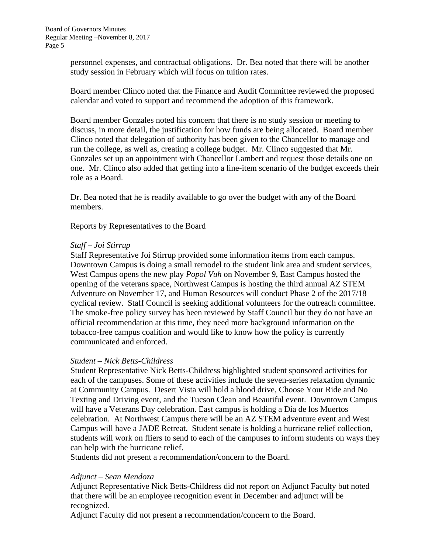personnel expenses, and contractual obligations. Dr. Bea noted that there will be another study session in February which will focus on tuition rates.

Board member Clinco noted that the Finance and Audit Committee reviewed the proposed calendar and voted to support and recommend the adoption of this framework.

Board member Gonzales noted his concern that there is no study session or meeting to discuss, in more detail, the justification for how funds are being allocated. Board member Clinco noted that delegation of authority has been given to the Chancellor to manage and run the college, as well as, creating a college budget. Mr. Clinco suggested that Mr. Gonzales set up an appointment with Chancellor Lambert and request those details one on one. Mr. Clinco also added that getting into a line-item scenario of the budget exceeds their role as a Board.

Dr. Bea noted that he is readily available to go over the budget with any of the Board members.

#### Reports by Representatives to the Board

#### *Staff – Joi Stirrup*

Staff Representative Joi Stirrup provided some information items from each campus. Downtown Campus is doing a small remodel to the student link area and student services, West Campus opens the new play *Popol Vuh* on November 9, East Campus hosted the opening of the veterans space, Northwest Campus is hosting the third annual AZ STEM Adventure on November 17, and Human Resources will conduct Phase 2 of the 2017/18 cyclical review. Staff Council is seeking additional volunteers for the outreach committee. The smoke-free policy survey has been reviewed by Staff Council but they do not have an official recommendation at this time, they need more background information on the tobacco-free campus coalition and would like to know how the policy is currently communicated and enforced.

### *Student – Nick Betts-Childress*

Student Representative Nick Betts-Childress highlighted student sponsored activities for each of the campuses. Some of these activities include the seven-series relaxation dynamic at Community Campus. Desert Vista will hold a blood drive, Choose Your Ride and No Texting and Driving event, and the Tucson Clean and Beautiful event. Downtown Campus will have a Veterans Day celebration. East campus is holding a Dia de los Muertos celebration. At Northwest Campus there will be an AZ STEM adventure event and West Campus will have a JADE Retreat. Student senate is holding a hurricane relief collection, students will work on fliers to send to each of the campuses to inform students on ways they can help with the hurricane relief.

Students did not present a recommendation/concern to the Board.

### *Adjunct – Sean Mendoza*

Adjunct Representative Nick Betts-Childress did not report on Adjunct Faculty but noted that there will be an employee recognition event in December and adjunct will be recognized.

Adjunct Faculty did not present a recommendation/concern to the Board.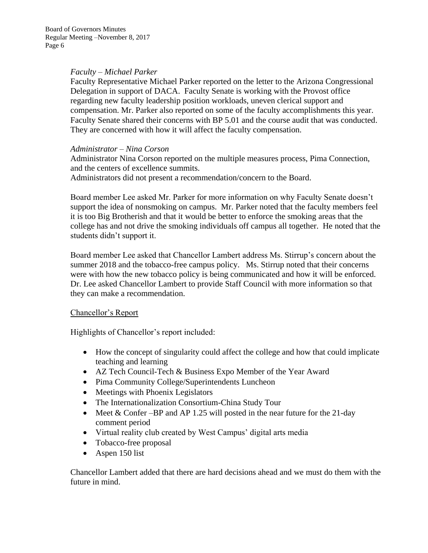### *Faculty – Michael Parker*

Faculty Representative Michael Parker reported on the letter to the Arizona Congressional Delegation in support of DACA. Faculty Senate is working with the Provost office regarding new faculty leadership position workloads, uneven clerical support and compensation. Mr. Parker also reported on some of the faculty accomplishments this year. Faculty Senate shared their concerns with BP 5.01 and the course audit that was conducted. They are concerned with how it will affect the faculty compensation.

#### *Administrator – Nina Corson*

Administrator Nina Corson reported on the multiple measures process, Pima Connection, and the centers of excellence summits.

Administrators did not present a recommendation/concern to the Board.

Board member Lee asked Mr. Parker for more information on why Faculty Senate doesn't support the idea of nonsmoking on campus. Mr. Parker noted that the faculty members feel it is too Big Brotherish and that it would be better to enforce the smoking areas that the college has and not drive the smoking individuals off campus all together. He noted that the students didn't support it.

Board member Lee asked that Chancellor Lambert address Ms. Stirrup's concern about the summer 2018 and the tobacco-free campus policy. Ms. Stirrup noted that their concerns were with how the new tobacco policy is being communicated and how it will be enforced. Dr. Lee asked Chancellor Lambert to provide Staff Council with more information so that they can make a recommendation.

### Chancellor's Report

Highlights of Chancellor's report included:

- How the concept of singularity could affect the college and how that could implicate teaching and learning
- AZ Tech Council-Tech & Business Expo Member of the Year Award
- Pima Community College/Superintendents Luncheon
- Meetings with Phoenix Legislators
- The Internationalization Consortium-China Study Tour
- Meet & Confer –BP and AP 1.25 will posted in the near future for the 21-day comment period
- Virtual reality club created by West Campus' digital arts media
- Tobacco-free proposal
- Aspen 150 list

Chancellor Lambert added that there are hard decisions ahead and we must do them with the future in mind.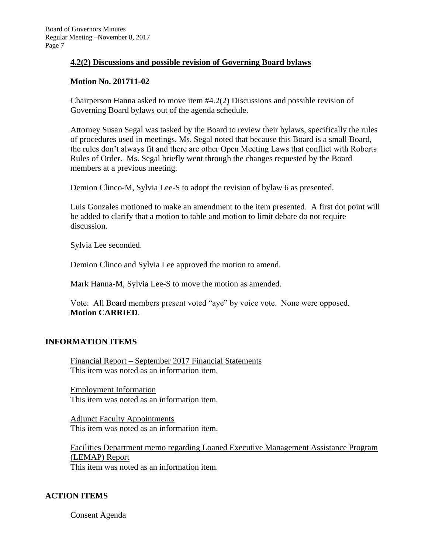## **4.2(2) Discussions and possible revision of Governing Board bylaws**

### **Motion No. 201711-02**

Chairperson Hanna asked to move item #4.2(2) Discussions and possible revision of Governing Board bylaws out of the agenda schedule.

Attorney Susan Segal was tasked by the Board to review their bylaws, specifically the rules of procedures used in meetings. Ms. Segal noted that because this Board is a small Board, the rules don't always fit and there are other Open Meeting Laws that conflict with Roberts Rules of Order. Ms. Segal briefly went through the changes requested by the Board members at a previous meeting.

Demion Clinco-M, Sylvia Lee-S to adopt the revision of bylaw 6 as presented.

Luis Gonzales motioned to make an amendment to the item presented. A first dot point will be added to clarify that a motion to table and motion to limit debate do not require discussion.

Sylvia Lee seconded.

Demion Clinco and Sylvia Lee approved the motion to amend.

Mark Hanna-M, Sylvia Lee-S to move the motion as amended.

Vote: All Board members present voted "aye" by voice vote. None were opposed. **Motion CARRIED**.

# **INFORMATION ITEMS**

Financial Report – September 2017 Financial Statements This item was noted as an information item.

Employment Information This item was noted as an information item.

Adjunct Faculty Appointments This item was noted as an information item.

Facilities Department memo regarding Loaned Executive Management Assistance Program (LEMAP) Report This item was noted as an information item.

# **ACTION ITEMS**

Consent Agenda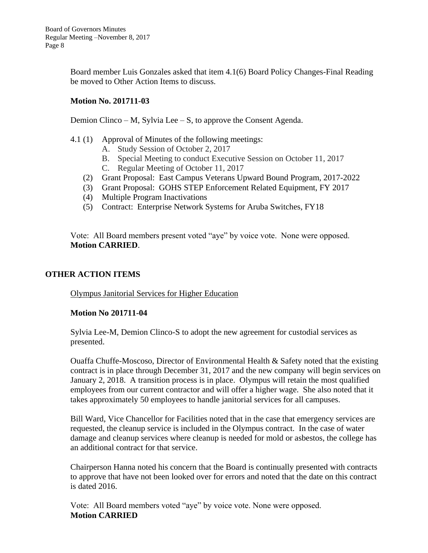Board member Luis Gonzales asked that item 4.1(6) Board Policy Changes-Final Reading be moved to Other Action Items to discuss.

## **Motion No. 201711-03**

Demion Clinco – M, Sylvia Lee – S, to approve the Consent Agenda.

- 4.1 (1) Approval of Minutes of the following meetings:
	- A. Study Session of October 2, 2017
	- B. Special Meeting to conduct Executive Session on October 11, 2017
	- C. Regular Meeting of October 11, 2017
	- (2) Grant Proposal: East Campus Veterans Upward Bound Program, 2017-2022
	- (3) Grant Proposal: GOHS STEP Enforcement Related Equipment, FY 2017
	- (4) Multiple Program Inactivations
	- (5) Contract: Enterprise Network Systems for Aruba Switches, FY18

Vote: All Board members present voted "aye" by voice vote. None were opposed. **Motion CARRIED**.

# **OTHER ACTION ITEMS**

Olympus Janitorial Services for Higher Education

### **Motion No 201711-04**

Sylvia Lee-M, Demion Clinco-S to adopt the new agreement for custodial services as presented.

Ouaffa Chuffe-Moscoso, Director of Environmental Health & Safety noted that the existing contract is in place through December 31, 2017 and the new company will begin services on January 2, 2018. A transition process is in place. Olympus will retain the most qualified employees from our current contractor and will offer a higher wage. She also noted that it takes approximately 50 employees to handle janitorial services for all campuses.

Bill Ward, Vice Chancellor for Facilities noted that in the case that emergency services are requested, the cleanup service is included in the Olympus contract. In the case of water damage and cleanup services where cleanup is needed for mold or asbestos, the college has an additional contract for that service.

Chairperson Hanna noted his concern that the Board is continually presented with contracts to approve that have not been looked over for errors and noted that the date on this contract is dated 2016.

Vote: All Board members voted "aye" by voice vote. None were opposed. **Motion CARRIED**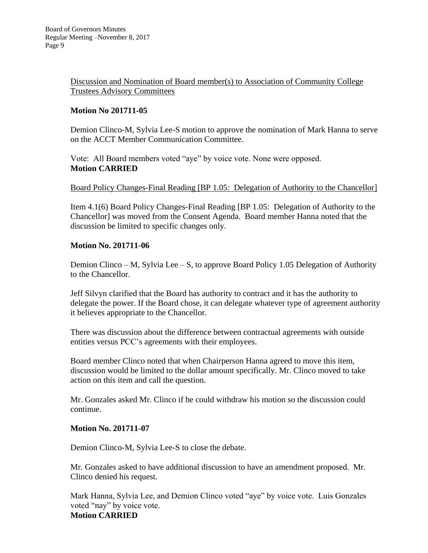Discussion and Nomination of Board member(s) to Association of Community College Trustees Advisory Committees

# **Motion No 201711-05**

Demion Clinco-M, Sylvia Lee-S motion to approve the nomination of Mark Hanna to serve on the ACCT Member Communication Committee.

Vote: All Board members voted "aye" by voice vote. None were opposed. **Motion CARRIED**

### Board Policy Changes-Final Reading [BP 1.05: Delegation of Authority to the Chancellor]

Item 4.1(6) Board Policy Changes-Final Reading [BP 1.05: Delegation of Authority to the Chancellor] was moved from the Consent Agenda. Board member Hanna noted that the discussion be limited to specific changes only.

### **Motion No. 201711-06**

Demion Clinco – M, Sylvia Lee – S, to approve Board Policy 1.05 Delegation of Authority to the Chancellor.

Jeff Silvyn clarified that the Board has authority to contract and it has the authority to delegate the power. If the Board chose, it can delegate whatever type of agreement authority it believes appropriate to the Chancellor.

There was discussion about the difference between contractual agreements with outside entities versus PCC's agreements with their employees.

Board member Clinco noted that when Chairperson Hanna agreed to move this item, discussion would be limited to the dollar amount specifically. Mr. Clinco moved to take action on this item and call the question.

Mr. Gonzales asked Mr. Clinco if he could withdraw his motion so the discussion could continue.

### **Motion No. 201711-07**

Demion Clinco-M, Sylvia Lee-S to close the debate.

Mr. Gonzales asked to have additional discussion to have an amendment proposed. Mr. Clinco denied his request.

Mark Hanna, Sylvia Lee, and Demion Clinco voted "aye" by voice vote. Luis Gonzales voted "nay" by voice vote. **Motion CARRIED**